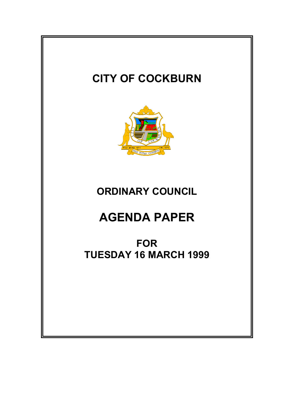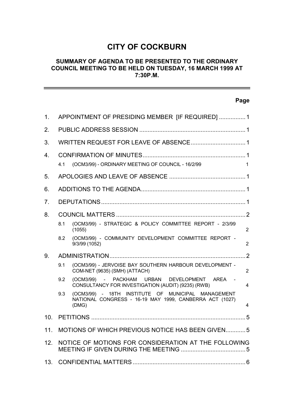# **CITY OF COCKBURN**

## **SUMMARY OF AGENDA TO BE PRESENTED TO THE ORDINARY COUNCIL MEETING TO BE HELD ON TUESDAY, 16 MARCH 1999 AT 7:30P.M.**

# **Page**

| $\mathbf 1$ .   | APPOINTMENT OF PRESIDING MEMBER [IF REQUIRED]  1     |                                                                                                                        |                |  |
|-----------------|------------------------------------------------------|------------------------------------------------------------------------------------------------------------------------|----------------|--|
| 2.              |                                                      |                                                                                                                        |                |  |
| 3.              |                                                      |                                                                                                                        |                |  |
| 4               | 4.1                                                  | (OCM3/99) - ORDINARY MEETING OF COUNCIL - 16/2/99                                                                      | $\mathbf{1}$   |  |
| 5.              |                                                      |                                                                                                                        |                |  |
| 6.              |                                                      |                                                                                                                        |                |  |
| 7.              |                                                      |                                                                                                                        |                |  |
| 8.              |                                                      |                                                                                                                        |                |  |
|                 | 8.1                                                  | (OCM3/99) - STRATEGIC & POLICY COMMITTEE REPORT - 2/3/99<br>(1055)                                                     | $\overline{2}$ |  |
|                 | 8.2                                                  | (OCM3/99) - COMMUNITY DEVELOPMENT COMMITTEE REPORT -<br>9/3/99 (1052)                                                  | 2              |  |
| 9.              |                                                      |                                                                                                                        |                |  |
|                 | 9.1                                                  | (OCM3/99) - JERVOISE BAY SOUTHERN HARBOUR DEVELOPMENT -<br>COM-NET (9635) (SMH) (ATTACH)                               | $\overline{2}$ |  |
|                 | 9.2                                                  | (OCM3/99) - PACKHAM URBAN DEVELOPMENT AREA -<br>CONSULTANCY FOR INVESTIGATION (AUDIT) (9235) (RWB)                     | 4              |  |
|                 | 9.3                                                  | (OCM3/99) - 18TH INSTITUTE OF MUNICIPAL MANAGEMENT<br>NATIONAL CONGRESS - 16-19 MAY 1999, CANBERRA ACT (1027)<br>(DMG) | 4              |  |
| 10 <sub>1</sub> |                                                      |                                                                                                                        |                |  |
| 11.             | MOTIONS OF WHICH PREVIOUS NOTICE HAS BEEN GIVEN5     |                                                                                                                        |                |  |
| 12.             | NOTICE OF MOTIONS FOR CONSIDERATION AT THE FOLLOWING |                                                                                                                        |                |  |
| 13.             |                                                      |                                                                                                                        |                |  |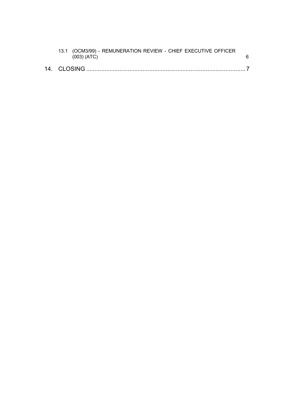| 13.1 (OCM3/99) - REMUNERATION REVIEW - CHIEF EXECUTIVE OFFICER<br>(003) (ATC) |  |
|-------------------------------------------------------------------------------|--|
| 14 CLOSING.                                                                   |  |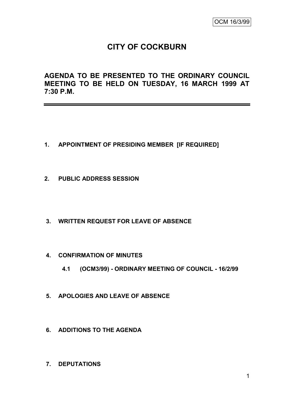# **CITY OF COCKBURN**

**AGENDA TO BE PRESENTED TO THE ORDINARY COUNCIL MEETING TO BE HELD ON TUESDAY, 16 MARCH 1999 AT 7:30 P.M.**

- **1. APPOINTMENT OF PRESIDING MEMBER [IF REQUIRED]**
- **2. PUBLIC ADDRESS SESSION**
- **3. WRITTEN REQUEST FOR LEAVE OF ABSENCE**
- **4. CONFIRMATION OF MINUTES**
	- **4.1 (OCM3/99) - ORDINARY MEETING OF COUNCIL - 16/2/99**
- **5. APOLOGIES AND LEAVE OF ABSENCE**
- **6. ADDITIONS TO THE AGENDA**
- **7. DEPUTATIONS**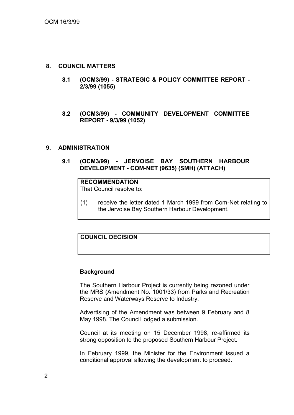#### **8. COUNCIL MATTERS**

- **8.1 (OCM3/99) - STRATEGIC & POLICY COMMITTEE REPORT - 2/3/99 (1055)**
- **8.2 (OCM3/99) - COMMUNITY DEVELOPMENT COMMITTEE REPORT - 9/3/99 (1052)**

#### **9. ADMINISTRATION**

**9.1 (OCM3/99) - JERVOISE BAY SOUTHERN HARBOUR DEVELOPMENT - COM-NET (9635) (SMH) (ATTACH)**

#### **RECOMMENDATION**

That Council resolve to:

(1) receive the letter dated 1 March 1999 from Com-Net relating to the Jervoise Bay Southern Harbour Development.

## **COUNCIL DECISION**

#### **Background**

The Southern Harbour Project is currently being rezoned under the MRS (Amendment No. 1001/33) from Parks and Recreation Reserve and Waterways Reserve to Industry.

Advertising of the Amendment was between 9 February and 8 May 1998. The Council lodged a submission.

Council at its meeting on 15 December 1998, re-affirmed its strong opposition to the proposed Southern Harbour Project.

In February 1999, the Minister for the Environment issued a conditional approval allowing the development to proceed.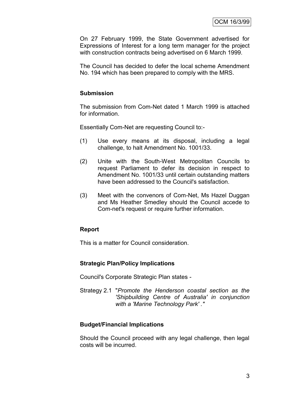On 27 February 1999, the State Government advertised for Expressions of Interest for a long term manager for the project with construction contracts being advertised on 6 March 1999.

The Council has decided to defer the local scheme Amendment No. 194 which has been prepared to comply with the MRS.

### **Submission**

The submission from Com-Net dated 1 March 1999 is attached for information.

Essentially Com-Net are requesting Council to:-

- (1) Use every means at its disposal, including a legal challenge, to halt Amendment No. 1001/33.
- (2) Unite with the South-West Metropolitan Councils to request Parliament to defer its decision in respect to Amendment No. 1001/33 until certain outstanding matters have been addressed to the Council's satisfaction.
- (3) Meet with the convenors of Com-Net, Ms Hazel Duggan and Ms Heather Smedley should the Council accede to Com-net's request or require further information.

#### **Report**

This is a matter for Council consideration.

#### **Strategic Plan/Policy Implications**

Council's Corporate Strategic Plan states -

Strategy 2.1 "*Promote the Henderson coastal section as the 'Shipbuilding Centre of Australia' in conjunction with a 'Marine Technology Park' ."*

#### **Budget/Financial Implications**

Should the Council proceed with any legal challenge, then legal costs will be incurred.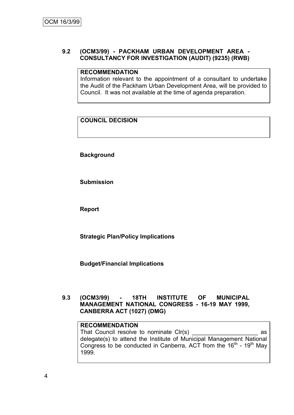### **9.2 (OCM3/99) - PACKHAM URBAN DEVELOPMENT AREA - CONSULTANCY FOR INVESTIGATION (AUDIT) (9235) (RWB)**

#### **RECOMMENDATION**

Information relevant to the appointment of a consultant to undertake the Audit of the Packham Urban Development Area, will be provided to Council. It was not available at the time of agenda preparation.

# **COUNCIL DECISION**

**Background**

**Submission**

**Report**

**Strategic Plan/Policy Implications**

**Budget/Financial Implications**

### **9.3 (OCM3/99) - 18TH INSTITUTE OF MUNICIPAL MANAGEMENT NATIONAL CONGRESS - 16-19 MAY 1999, CANBERRA ACT (1027) (DMG)**

#### **RECOMMENDATION**

That Council resolve to nominate Clr(s) example as delegate(s) to attend the Institute of Municipal Management National Congress to be conducted in Canberra, ACT from the  $16<sup>th</sup>$  -  $19<sup>th</sup>$  May 1999.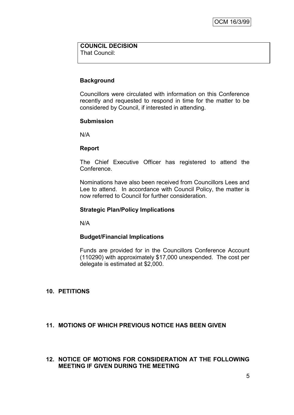# **COUNCIL DECISION**

That Council:

## **Background**

Councillors were circulated with information on this Conference recently and requested to respond in time for the matter to be considered by Council, if interested in attending.

#### **Submission**

N/A

#### **Report**

The Chief Executive Officer has registered to attend the Conference.

Nominations have also been received from Councillors Lees and Lee to attend. In accordance with Council Policy, the matter is now referred to Council for further consideration.

## **Strategic Plan/Policy Implications**

N/A

#### **Budget/Financial Implications**

Funds are provided for in the Councillors Conference Account (110290) with approximately \$17,000 unexpended. The cost per delegate is estimated at \$2,000.

# **10. PETITIONS**

#### **11. MOTIONS OF WHICH PREVIOUS NOTICE HAS BEEN GIVEN**

#### **12. NOTICE OF MOTIONS FOR CONSIDERATION AT THE FOLLOWING MEETING IF GIVEN DURING THE MEETING**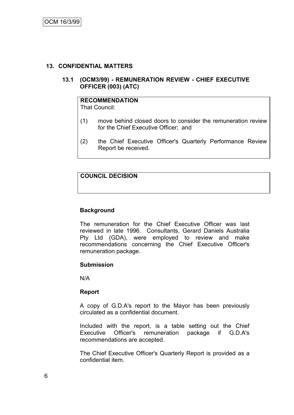#### **13. CONFIDENTIAL MATTERS**

#### **13.1 (OCM3/99) - REMUNERATION REVIEW - CHIEF EXECUTIVE OFFICER (003) (ATC)**

# **RECOMMENDATION**

That Council:

- (1) move behind closed doors to consider the remuneration review for the Chief Executive Officer; and
- (2) the Chief Executive Officer's Quarterly Performance Review Report be received.

## **COUNCIL DECISION**

#### **Background**

The remuneration for the Chief Executive Officer was last reviewed in late 1996. Consultants, Gerard Daniels Australia Pty Ltd (GDA), were employed to review and make recommendations concerning the Chief Executive Officer's remuneration package.

#### **Submission**

N/A

#### **Report**

A copy of G.D.A's report to the Mayor has been previously circulated as a confidential document.

Included with the report, is a table setting out the Chief Executive Officer's remuneration package if G.D.A's recommendations are accepted.

The Chief Executive Officer's Quarterly Report is provided as a confidential item.